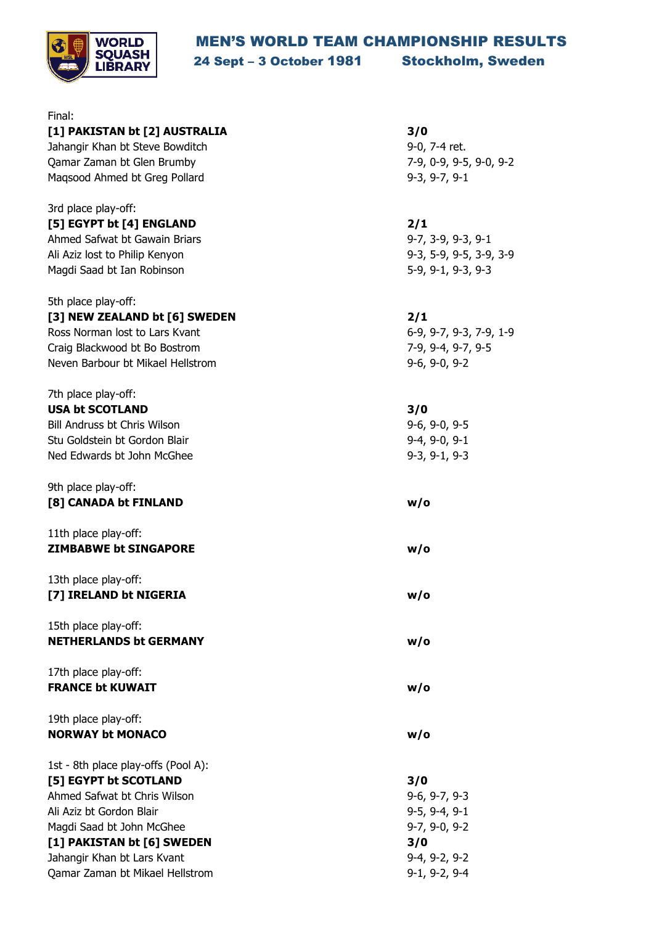## MEN'S WORLD TEAM CHAMPIONSHIP RESULTS



24 Sept – 3 October 1981 Stockholm, Sweden

| Final:                              |                         |
|-------------------------------------|-------------------------|
| [1] PAKISTAN bt [2] AUSTRALIA       | 3/0                     |
| Jahangir Khan bt Steve Bowditch     | 9-0, 7-4 ret.           |
| Qamar Zaman bt Glen Brumby          | 7-9, 0-9, 9-5, 9-0, 9-2 |
| Magsood Ahmed bt Greg Pollard       | $9-3, 9-7, 9-1$         |
|                                     |                         |
| 3rd place play-off:                 |                         |
| [5] EGYPT bt [4] ENGLAND            | 2/1                     |
| Ahmed Safwat bt Gawain Briars       | 9-7, 3-9, 9-3, 9-1      |
| Ali Aziz lost to Philip Kenyon      | 9-3, 5-9, 9-5, 3-9, 3-9 |
| Magdi Saad bt Ian Robinson          | 5-9, 9-1, 9-3, 9-3      |
| 5th place play-off:                 |                         |
| [3] NEW ZEALAND bt [6] SWEDEN       | 2/1                     |
| Ross Norman lost to Lars Kvant      | 6-9, 9-7, 9-3, 7-9, 1-9 |
| Craig Blackwood bt Bo Bostrom       | 7-9, 9-4, 9-7, 9-5      |
| Neven Barbour bt Mikael Hellstrom   | $9-6, 9-0, 9-2$         |
|                                     |                         |
| 7th place play-off:                 |                         |
| <b>USA bt SCOTLAND</b>              | 3/0                     |
| Bill Andruss bt Chris Wilson        | $9-6, 9-0, 9-5$         |
| Stu Goldstein bt Gordon Blair       | $9-4, 9-0, 9-1$         |
| Ned Edwards bt John McGhee          | $9-3, 9-1, 9-3$         |
| 9th place play-off:                 |                         |
| [8] CANADA bt FINLAND               | w/o                     |
| 11th place play-off:                |                         |
| <b>ZIMBABWE bt SINGAPORE</b>        | w/o                     |
|                                     |                         |
| 13th place play-off:                |                         |
| [7] IRELAND bt NIGERIA              | w/o                     |
| 15th place play-off:                |                         |
| <b>NETHERLANDS bt GERMANY</b>       | w/o                     |
|                                     |                         |
| 17th place play-off:                |                         |
| <b>FRANCE bt KUWAIT</b>             | w/o                     |
| 19th place play-off:                |                         |
| <b>NORWAY bt MONACO</b>             | w/o                     |
|                                     |                         |
| 1st - 8th place play-offs (Pool A): |                         |
| [5] EGYPT bt SCOTLAND               | 3/0                     |
| Ahmed Safwat bt Chris Wilson        | $9-6, 9-7, 9-3$         |
| Ali Aziz bt Gordon Blair            | $9-5, 9-4, 9-1$         |
| Magdi Saad bt John McGhee           | $9-7, 9-0, 9-2$         |
| [1] PAKISTAN bt [6] SWEDEN          | 3/0                     |
| Jahangir Khan bt Lars Kvant         | $9-4, 9-2, 9-2$         |
| Qamar Zaman bt Mikael Hellstrom     | $9-1, 9-2, 9-4$         |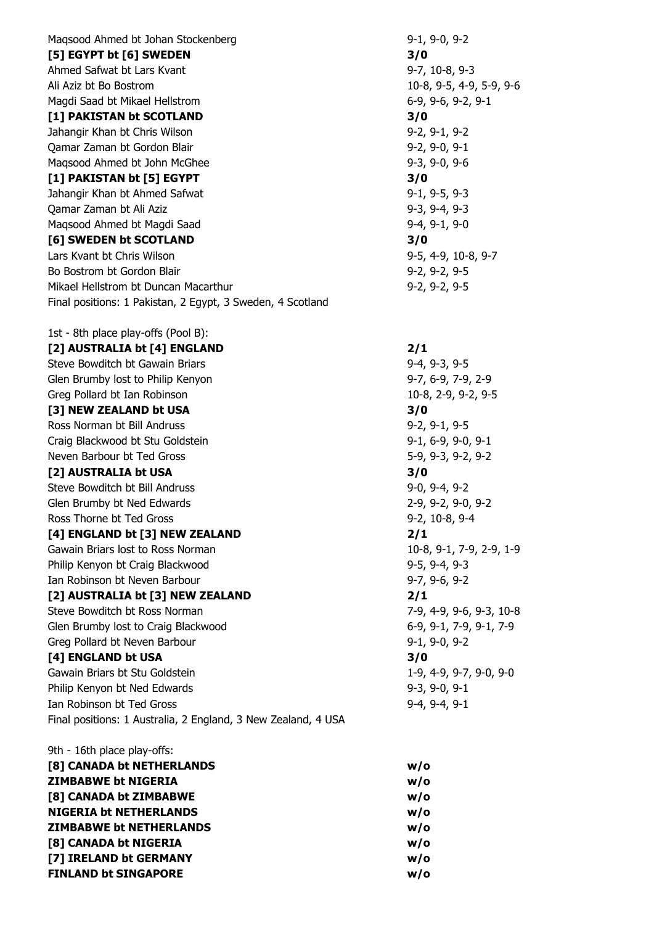Magsood Ahmed bt [Johan Stockenberg](http://www.squashinfo.com/players/6408-johan-stockenberg) 9-1, 9-0, 9-2 **[5] EGYPT bt [6] SWEDEN 3/0** [Ahmed Safwat](http://www.squashinfo.com/players/4425-ahmed-safwat) bt [Lars Kvant](http://www.squashinfo.com/players/4424-lars-kvant) 1997, 10-8, 9-3 [Ali Aziz](http://www.squashinfo.com/players/4423-ali-aziz) bt [Bo Bostrom](http://www.squashinfo.com/players/4661-bo-bostrom) 10-8, 9-5, 4-9, 5-9, 9-6 [Magdi Saad](http://www.squashinfo.com/players/1842-magdi-saad) bt [Mikael Hellstrom](http://www.squashinfo.com/players/4662-mikael-hellstrom) **6-9, 9-6, 9-2, 9-1 [1] PAKISTAN bt SCOTLAND 3/0** [Jahangir Khan](http://www.squashinfo.com/players/833-jahangir-khan) bt [Chris Wilson](http://www.squashinfo.com/players/6425-chris-wilson) 9-2, 9-1, 9-2 [Qamar Zaman](http://www.squashinfo.com/players/1257-qamar-zaman) bt [Gordon Blair](http://www.squashinfo.com/players/17066-gordon-blair) 9-2, 9-0, 9-1 Magsood Ahmed bt [John McGhee](http://www.squashinfo.com/players/17067-john-mcghee) 9-3, 9-0, 9-6 **[1] PAKISTAN bt [5] EGYPT 3/0** [Jahangir Khan](http://www.squashinfo.com/players/833-jahangir-khan) bt [Ahmed Safwat](http://www.squashinfo.com/players/4425-ahmed-safwat) 9-1, 9-5, 9-3 [Qamar Zaman](http://www.squashinfo.com/players/1257-qamar-zaman) bt [Ali Aziz](http://www.squashinfo.com/players/4423-ali-aziz) **9-3, 9-4, 9-3** [Maqsood Ahmed](http://www.squashinfo.com/players/1258-maqsood-ahmed) bt [Magdi Saad](http://www.squashinfo.com/players/1842-magdi-saad) 9-4, 9-1, 9-0 **[6] SWEDEN bt SCOTLAND 3/0** [Lars Kvant](http://www.squashinfo.com/players/4424-lars-kvant) bt [Chris Wilson](http://www.squashinfo.com/players/6425-chris-wilson) 9-5, 4-9, 10-8, 9-7 Bo [Bostrom](http://www.squashinfo.com/players/4661-bo-bostrom) bt [Gordon Blair](http://www.squashinfo.com/players/17066-gordon-blair) 9-2, 9-2, 9-5 [Mikael Hellstrom](http://www.squashinfo.com/players/4662-mikael-hellstrom) bt [Duncan Macarthur](http://www.squashinfo.com/players/6467-duncan-macarthur) 9-2, 9-2, 9-5 Final positions: 1 Pakistan, 2 Egypt, 3 Sweden, 4 Scotland 1st - 8th place play-offs (Pool B):

**[2] AUSTRALIA bt [4] ENGLAND 2/1** [Steve Bowditch](http://www.squashinfo.com/players/4436-steve-bowditch) bt [Gawain Briars](http://www.squashinfo.com/players/1249-gawain-briars) 9-4, 9-3, 9-5 [Glen Brumby](http://www.squashinfo.com/players/1408-glen-brumby) lost to [Philip Kenyon](http://www.squashinfo.com/players/1256-philip-kenyon) and the state of the state of the S-7, 6-9, 7-9, 2-9 [Greg Pollard](http://www.squashinfo.com/players/1251-greg-pollard) bt [Ian Robinson](http://www.squashinfo.com/players/1935-ian-robinson) 10-8, 2-9, 9-2, 9-5 **[3] NEW ZEALAND bt USA 3/0** [Ross Norman](http://www.squashinfo.com/players/1245-ross-norman) bt [Bill Andruss](http://www.squashinfo.com/players/9229-bill-andruss) **9-2, 9-1, 9-5** [Craig Blackwood](http://www.squashinfo.com/players/4660-craig-blackwood) bt [Stu Goldstein](http://www.squashinfo.com/players/16264-stu-goldstein) 9-1, 6-9, 9-0, 9-1 [Neven Barbour](http://www.squashinfo.com/players/4663-neven-barbour) bt [Ted Gross](http://www.squashinfo.com/players/17068-ted-gross) 5-9, 9-3, 9-2, 9-2 **[2] AUSTRALIA bt USA 3/0** [Steve Bowditch](http://www.squashinfo.com/players/4436-steve-bowditch) bt [Bill Andruss](http://www.squashinfo.com/players/9229-bill-andruss) 9-0, 9-4, 9-2 [Glen Brumby](http://www.squashinfo.com/players/1408-glen-brumby) bt [Ned Edwards](http://www.squashinfo.com/players/1341-ned-edwards) **2-9, 9-2, 9-0, 9-2** [Ross Thorne](http://www.squashinfo.com/players/1250-ross-thorne) bt [Ted Gross](http://www.squashinfo.com/players/17068-ted-gross) **6-4** and the Cross 10-8, 9-4 and the Second 1-8, 9-4 and 1-8, 9-4 **[4] ENGLAND bt [3] NEW ZEALAND 2/1** [Gawain Briars](http://www.squashinfo.com/players/1249-gawain-briars) lost to [Ross Norman](http://www.squashinfo.com/players/1245-ross-norman) 10-8, 9-1, 7-9, 2-9, 1-9 [Philip Kenyon](http://www.squashinfo.com/players/1256-philip-kenyon) bt [Craig Blackwood](http://www.squashinfo.com/players/4660-craig-blackwood) 9-5, 9-4, 9-3 [Ian Robinson](http://www.squashinfo.com/players/1935-ian-robinson) bt [Neven Barbour](http://www.squashinfo.com/players/4663-neven-barbour) 19-7, 9-6, 9-2 **[2] AUSTRALIA bt [3] NEW ZEALAND 2/1** [Steve Bowditch](http://www.squashinfo.com/players/4436-steve-bowditch) bt [Ross Norman](http://www.squashinfo.com/players/1245-ross-norman) 7-9, 4-9, 9-6, 9-3, 10-8 [Glen Brumby](http://www.squashinfo.com/players/1408-glen-brumby) lost to [Craig Blackwood](http://www.squashinfo.com/players/4660-craig-blackwood) 6-9, 9-1, 7-9, 9-1, 7-9 [Greg Pollard](http://www.squashinfo.com/players/1251-greg-pollard) bt [Neven Barbour](http://www.squashinfo.com/players/4663-neven-barbour) 1994 1996 1997 1998 9-1, 9-0, 9-2 **[4] ENGLAND bt USA 3/0** [Gawain Briars](http://www.squashinfo.com/players/1249-gawain-briars) bt [Stu Goldstein](http://www.squashinfo.com/players/16264-stu-goldstein) 1-9, 4-9, 9-7, 9-0, 9-0 [Philip Kenyon](http://www.squashinfo.com/players/1256-philip-kenyon) bt [Ned Edwards](http://www.squashinfo.com/players/1341-ned-edwards) 9-3, 9-0, 9-1 [Ian Robinson](http://www.squashinfo.com/players/1935-ian-robinson) bt [Ted Gross](http://www.squashinfo.com/players/17068-ted-gross) 9-4, 9-4, 9-1 Final positions: 1 Australia, 2 England, 3 New Zealand, 4 USA

| 9th - 16th place play-offs:    |     |
|--------------------------------|-----|
| [8] CANADA bt NETHERLANDS      | w/o |
| <b>ZIMBABWE bt NIGERIA</b>     | w/o |
| [8] CANADA bt ZIMBABWE         | w/o |
| <b>NIGERIA bt NETHERLANDS</b>  | w/o |
| <b>ZIMBABWE bt NETHERLANDS</b> | w/o |
| [8] CANADA bt NIGERIA          | w/o |
| [7] IRELAND bt GERMANY         | w/o |
| <b>FINLAND bt SINGAPORE</b>    | w/o |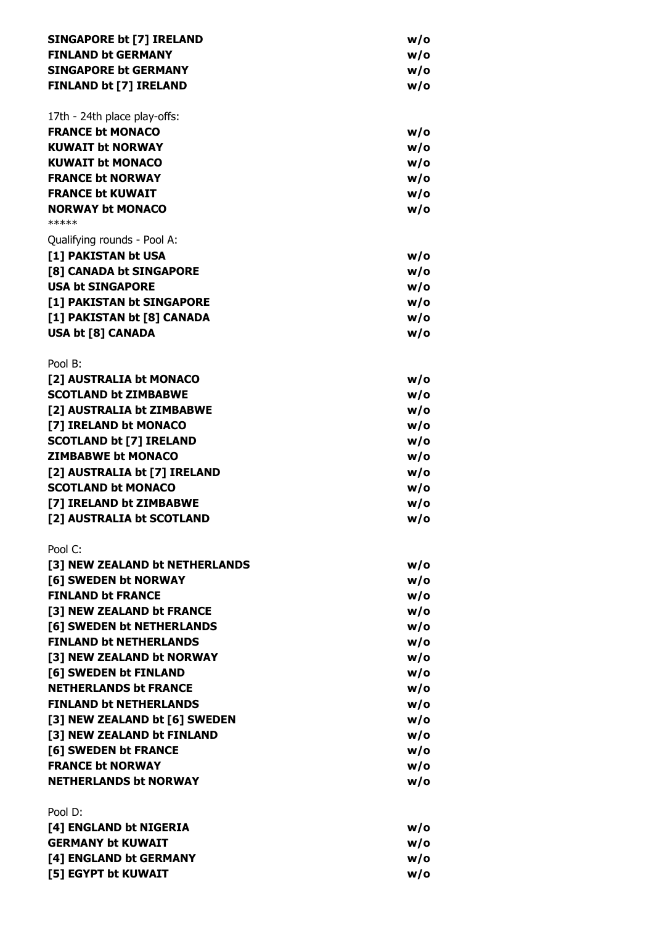| <b>SINGAPORE bt [7] IRELAND</b>                               | w/o        |
|---------------------------------------------------------------|------------|
| <b>FINLAND bt GERMANY</b>                                     | w/o        |
| <b>SINGAPORE bt GERMANY</b>                                   | w/o        |
| <b>FINLAND bt [7] IRELAND</b>                                 | w/o        |
| 17th - 24th place play-offs:                                  |            |
| <b>FRANCE bt MONACO</b>                                       | w/o        |
| <b>KUWAIT bt NORWAY</b>                                       | w/o        |
| <b>KUWAIT bt MONACO</b>                                       | w/o        |
| <b>FRANCE bt NORWAY</b>                                       | w/o        |
| <b>FRANCE bt KUWAIT</b>                                       | w/o        |
| <b>NORWAY bt MONACO</b><br>*****                              | w/o        |
| Qualifying rounds - Pool A:                                   |            |
| [1] PAKISTAN bt USA                                           | w/o        |
| [8] CANADA bt SINGAPORE                                       | w/o        |
| <b>USA bt SINGAPORE</b>                                       | w/o        |
| [1] PAKISTAN bt SINGAPORE                                     | w/o        |
| [1] PAKISTAN bt [8] CANADA                                    | w/o        |
| <b>USA bt [8] CANADA</b>                                      | w/o        |
| Pool B:                                                       |            |
| [2] AUSTRALIA bt MONACO                                       | w/o        |
| <b>SCOTLAND bt ZIMBABWE</b>                                   | w/o        |
| [2] AUSTRALIA bt ZIMBABWE                                     | w/o        |
| [7] IRELAND bt MONACO                                         | w/o        |
| <b>SCOTLAND bt [7] IRELAND</b>                                | w/o        |
| <b>ZIMBABWE bt MONACO</b>                                     | w/o        |
| [2] AUSTRALIA bt [7] IRELAND                                  | w/o        |
| <b>SCOTLAND bt MONACO</b>                                     | w/o        |
| [7] IRELAND bt ZIMBABWE                                       | w/o        |
| [2] AUSTRALIA bt SCOTLAND                                     | w/o        |
| Pool C:                                                       |            |
| [3] NEW ZEALAND bt NETHERLANDS                                | w/o        |
| [6] SWEDEN bt NORWAY                                          | w/o        |
| <b>FINLAND bt FRANCE</b>                                      | w/o        |
| [3] NEW ZEALAND bt FRANCE                                     | w/o        |
| [6] SWEDEN bt NETHERLANDS                                     | w/o        |
| <b>FINLAND bt NETHERLANDS</b>                                 | w/o        |
| [3] NEW ZEALAND bt NORWAY                                     | w/o        |
| [6] SWEDEN bt FINLAND                                         | w/o        |
| <b>NETHERLANDS bt FRANCE</b><br><b>FINLAND bt NETHERLANDS</b> | w/o        |
|                                                               | w/o        |
| [3] NEW ZEALAND bt [6] SWEDEN<br>[3] NEW ZEALAND bt FINLAND   | w/o        |
|                                                               | w/o        |
| [6] SWEDEN bt FRANCE<br><b>FRANCE bt NORWAY</b>               | w/o<br>w/o |
| <b>NETHERLANDS bt NORWAY</b>                                  | w/o        |
| Pool D:                                                       |            |
| [4] ENGLAND bt NIGERIA                                        | w/o        |
| <b>GERMANY bt KUWAIT</b>                                      | w/o        |
| [4] ENGLAND bt GERMANY                                        | w/o        |
| [5] EGYPT bt KUWAIT                                           | w/o        |
|                                                               |            |